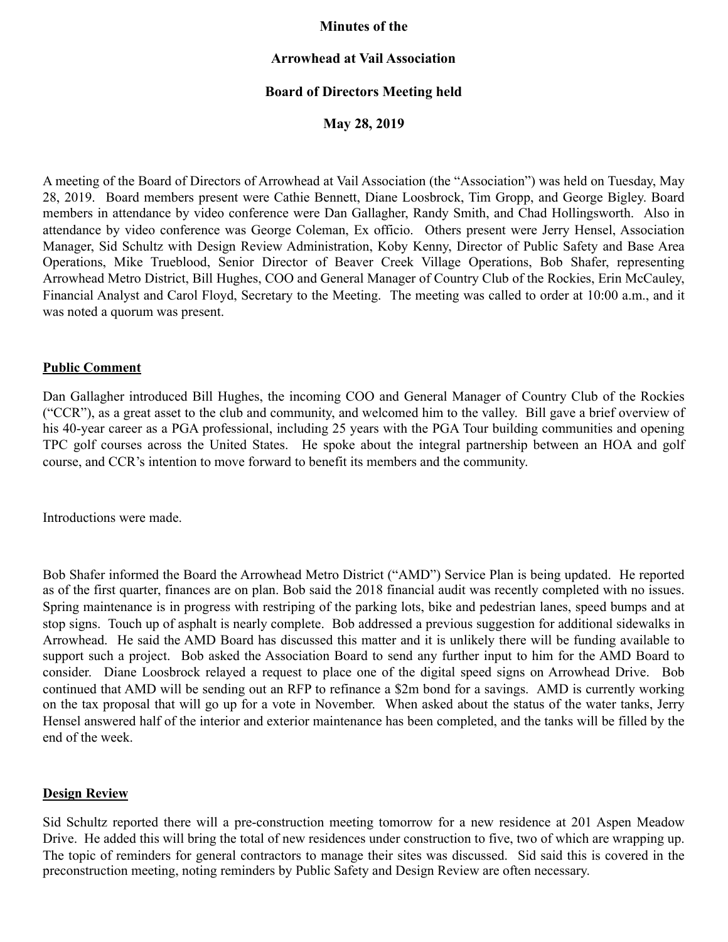### **Minutes of the**

### **Arrowhead at Vail Association**

# **Board of Directors Meeting held**

**May 28, 2019** 

A meeting of the Board of Directors of Arrowhead at Vail Association (the "Association") was held on Tuesday, May 28, 2019. Board members present were Cathie Bennett, Diane Loosbrock, Tim Gropp, and George Bigley. Board members in attendance by video conference were Dan Gallagher, Randy Smith, and Chad Hollingsworth. Also in attendance by video conference was George Coleman, Ex officio. Others present were Jerry Hensel, Association Manager, Sid Schultz with Design Review Administration, Koby Kenny, Director of Public Safety and Base Area Operations, Mike Trueblood, Senior Director of Beaver Creek Village Operations, Bob Shafer, representing Arrowhead Metro District, Bill Hughes, COO and General Manager of Country Club of the Rockies, Erin McCauley, Financial Analyst and Carol Floyd, Secretary to the Meeting. The meeting was called to order at 10:00 a.m., and it was noted a quorum was present.

#### **Public Comment**

Dan Gallagher introduced Bill Hughes, the incoming COO and General Manager of Country Club of the Rockies ("CCR"), as a great asset to the club and community, and welcomed him to the valley. Bill gave a brief overview of his 40-year career as a PGA professional, including 25 years with the PGA Tour building communities and opening TPC golf courses across the United States. He spoke about the integral partnership between an HOA and golf course, and CCR's intention to move forward to benefit its members and the community.

Introductions were made.

Bob Shafer informed the Board the Arrowhead Metro District ("AMD") Service Plan is being updated. He reported as of the first quarter, finances are on plan. Bob said the 2018 financial audit was recently completed with no issues. Spring maintenance is in progress with restriping of the parking lots, bike and pedestrian lanes, speed bumps and at stop signs. Touch up of asphalt is nearly complete. Bob addressed a previous suggestion for additional sidewalks in Arrowhead. He said the AMD Board has discussed this matter and it is unlikely there will be funding available to support such a project. Bob asked the Association Board to send any further input to him for the AMD Board to consider. Diane Loosbrock relayed a request to place one of the digital speed signs on Arrowhead Drive. Bob continued that AMD will be sending out an RFP to refinance a \$2m bond for a savings. AMD is currently working on the tax proposal that will go up for a vote in November. When asked about the status of the water tanks, Jerry Hensel answered half of the interior and exterior maintenance has been completed, and the tanks will be filled by the end of the week.

#### **Design Review**

Sid Schultz reported there will a pre-construction meeting tomorrow for a new residence at 201 Aspen Meadow Drive. He added this will bring the total of new residences under construction to five, two of which are wrapping up. The topic of reminders for general contractors to manage their sites was discussed. Sid said this is covered in the preconstruction meeting, noting reminders by Public Safety and Design Review are often necessary.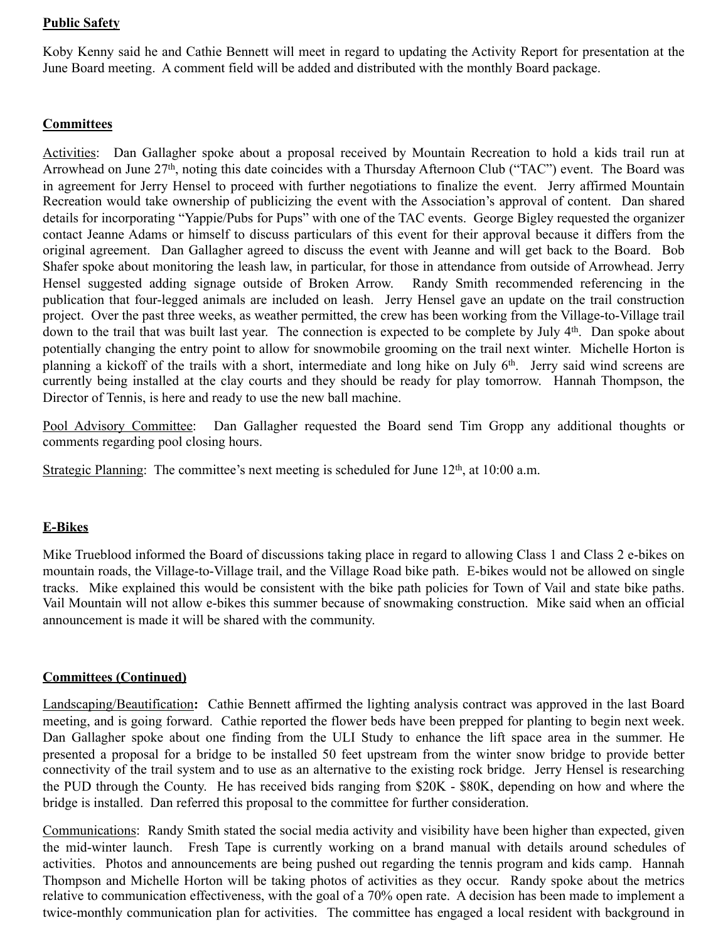### **Public Safety**

Koby Kenny said he and Cathie Bennett will meet in regard to updating the Activity Report for presentation at the June Board meeting. A comment field will be added and distributed with the monthly Board package.

# **Committees**

Activities: Dan Gallagher spoke about a proposal received by Mountain Recreation to hold a kids trail run at Arrowhead on June 27<sup>th</sup>, noting this date coincides with a Thursday Afternoon Club ("TAC") event. The Board was in agreement for Jerry Hensel to proceed with further negotiations to finalize the event. Jerry affirmed Mountain Recreation would take ownership of publicizing the event with the Association's approval of content. Dan shared details for incorporating "Yappie/Pubs for Pups" with one of the TAC events. George Bigley requested the organizer contact Jeanne Adams or himself to discuss particulars of this event for their approval because it differs from the original agreement. Dan Gallagher agreed to discuss the event with Jeanne and will get back to the Board. Bob Shafer spoke about monitoring the leash law, in particular, for those in attendance from outside of Arrowhead. Jerry Hensel suggested adding signage outside of Broken Arrow. Randy Smith recommended referencing in the publication that four-legged animals are included on leash. Jerry Hensel gave an update on the trail construction project. Over the past three weeks, as weather permitted, the crew has been working from the Village-to-Village trail down to the trail that was built last year. The connection is expected to be complete by July 4th. Dan spoke about potentially changing the entry point to allow for snowmobile grooming on the trail next winter. Michelle Horton is planning a kickoff of the trails with a short, intermediate and long hike on July 6th. Jerry said wind screens are currently being installed at the clay courts and they should be ready for play tomorrow. Hannah Thompson, the Director of Tennis, is here and ready to use the new ball machine.

Pool Advisory Committee: Dan Gallagher requested the Board send Tim Gropp any additional thoughts or comments regarding pool closing hours.

Strategic Planning: The committee's next meeting is scheduled for June  $12<sup>th</sup>$ , at  $10:00$  a.m.

# **E-Bikes**

Mike Trueblood informed the Board of discussions taking place in regard to allowing Class 1 and Class 2 e-bikes on mountain roads, the Village-to-Village trail, and the Village Road bike path. E-bikes would not be allowed on single tracks. Mike explained this would be consistent with the bike path policies for Town of Vail and state bike paths. Vail Mountain will not allow e-bikes this summer because of snowmaking construction. Mike said when an official announcement is made it will be shared with the community.

#### **Committees (Continued)**

Landscaping/Beautification**:** Cathie Bennett affirmed the lighting analysis contract was approved in the last Board meeting, and is going forward. Cathie reported the flower beds have been prepped for planting to begin next week. Dan Gallagher spoke about one finding from the ULI Study to enhance the lift space area in the summer. He presented a proposal for a bridge to be installed 50 feet upstream from the winter snow bridge to provide better connectivity of the trail system and to use as an alternative to the existing rock bridge. Jerry Hensel is researching the PUD through the County. He has received bids ranging from \$20K - \$80K, depending on how and where the bridge is installed. Dan referred this proposal to the committee for further consideration.

Communications: Randy Smith stated the social media activity and visibility have been higher than expected, given the mid-winter launch. Fresh Tape is currently working on a brand manual with details around schedules of activities. Photos and announcements are being pushed out regarding the tennis program and kids camp. Hannah Thompson and Michelle Horton will be taking photos of activities as they occur. Randy spoke about the metrics relative to communication effectiveness, with the goal of a 70% open rate. A decision has been made to implement a twice-monthly communication plan for activities. The committee has engaged a local resident with background in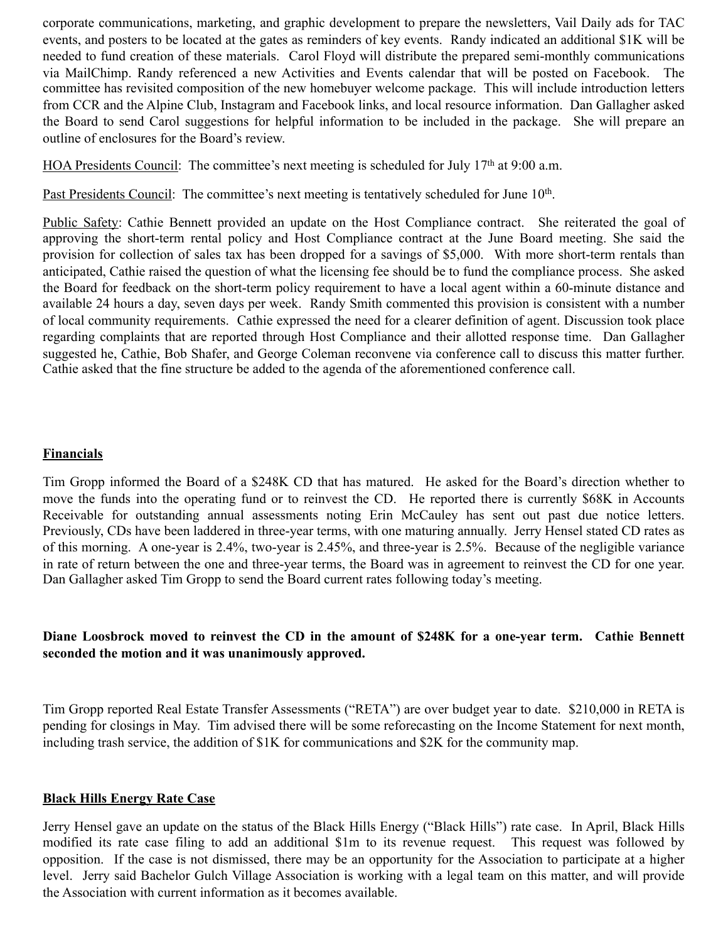corporate communications, marketing, and graphic development to prepare the newsletters, Vail Daily ads for TAC events, and posters to be located at the gates as reminders of key events. Randy indicated an additional \$1K will be needed to fund creation of these materials. Carol Floyd will distribute the prepared semi-monthly communications via MailChimp. Randy referenced a new Activities and Events calendar that will be posted on Facebook. The committee has revisited composition of the new homebuyer welcome package. This will include introduction letters from CCR and the Alpine Club, Instagram and Facebook links, and local resource information. Dan Gallagher asked the Board to send Carol suggestions for helpful information to be included in the package. She will prepare an outline of enclosures for the Board's review.

HOA Presidents Council: The committee's next meeting is scheduled for July 17<sup>th</sup> at 9:00 a.m.

Past Presidents Council: The committee's next meeting is tentatively scheduled for June 10<sup>th</sup>.

Public Safety: Cathie Bennett provided an update on the Host Compliance contract. She reiterated the goal of approving the short-term rental policy and Host Compliance contract at the June Board meeting. She said the provision for collection of sales tax has been dropped for a savings of \$5,000. With more short-term rentals than anticipated, Cathie raised the question of what the licensing fee should be to fund the compliance process. She asked the Board for feedback on the short-term policy requirement to have a local agent within a 60-minute distance and available 24 hours a day, seven days per week. Randy Smith commented this provision is consistent with a number of local community requirements. Cathie expressed the need for a clearer definition of agent. Discussion took place regarding complaints that are reported through Host Compliance and their allotted response time. Dan Gallagher suggested he, Cathie, Bob Shafer, and George Coleman reconvene via conference call to discuss this matter further. Cathie asked that the fine structure be added to the agenda of the aforementioned conference call.

### **Financials**

Tim Gropp informed the Board of a \$248K CD that has matured. He asked for the Board's direction whether to move the funds into the operating fund or to reinvest the CD. He reported there is currently \$68K in Accounts Receivable for outstanding annual assessments noting Erin McCauley has sent out past due notice letters. Previously, CDs have been laddered in three-year terms, with one maturing annually. Jerry Hensel stated CD rates as of this morning. A one-year is 2.4%, two-year is 2.45%, and three-year is 2.5%. Because of the negligible variance in rate of return between the one and three-year terms, the Board was in agreement to reinvest the CD for one year. Dan Gallagher asked Tim Gropp to send the Board current rates following today's meeting.

# **Diane Loosbrock moved to reinvest the CD in the amount of \$248K for a one-year term. Cathie Bennett seconded the motion and it was unanimously approved.**

Tim Gropp reported Real Estate Transfer Assessments ("RETA") are over budget year to date. \$210,000 in RETA is pending for closings in May. Tim advised there will be some reforecasting on the Income Statement for next month, including trash service, the addition of \$1K for communications and \$2K for the community map.

#### **Black Hills Energy Rate Case**

Jerry Hensel gave an update on the status of the Black Hills Energy ("Black Hills") rate case. In April, Black Hills modified its rate case filing to add an additional \$1m to its revenue request. This request was followed by opposition. If the case is not dismissed, there may be an opportunity for the Association to participate at a higher level. Jerry said Bachelor Gulch Village Association is working with a legal team on this matter, and will provide the Association with current information as it becomes available.